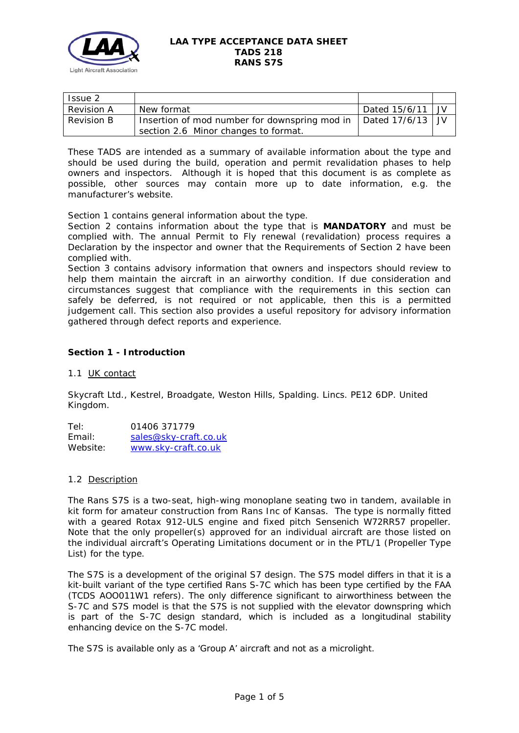

### **LAA TYPE ACCEPTANCE DATA SHEET TADS 218 RANS S7S**

| Issue 2           |                                               |                    |  |
|-------------------|-----------------------------------------------|--------------------|--|
| <b>Revision A</b> | New format                                    | Dated $15/6/11$ JV |  |
| Revision B        | Insertion of mod number for downspring mod in | Dated $17/6/13$ JV |  |
|                   | section 2.6 Minor changes to format.          |                    |  |

These TADS are intended as a summary of available information about the type and should be used during the build, operation and permit revalidation phases to help owners and inspectors. Although it is hoped that this document is as complete as possible, other sources may contain more up to date information, e.g. the manufacturer's website.

Section 1 contains general information about the type.

Section 2 contains information about the type that is **MANDATORY** and must be complied with. The annual Permit to Fly renewal (revalidation) process requires a Declaration by the inspector and owner that the Requirements of Section 2 have been complied with.

Section 3 contains advisory information that owners and inspectors should review to help them maintain the aircraft in an airworthy condition. If due consideration and circumstances suggest that compliance with the requirements in this section can safely be deferred, is not required or not applicable, then this is a permitted judgement call. This section also provides a useful repository for advisory information gathered through defect reports and experience.

# **Section 1 - Introduction**

## 1.1 UK contact

Skycraft Ltd., Kestrel, Broadgate, Weston Hills, Spalding. Lincs. PE12 6DP. United Kingdom.

Tel: 01406 371779 Email: [sales@sky-craft.co.uk](mailto:sales@sky-craft.co.uk) Website: [www.sky-craft.co.uk](http://www.sky-craft.co.uk/)

## 1.2 Description

The Rans S7S is a two-seat, high-wing monoplane seating two in tandem, available in kit form for amateur construction from Rans Inc of Kansas. The type is normally fitted with a geared Rotax 912-ULS engine and fixed pitch Sensenich W72RR57 propeller. Note that the only propeller(s) approved for an individual aircraft are those listed on the individual aircraft's Operating Limitations document or in the PTL/1 (Propeller Type List) for the type.

The S7S is a development of the original S7 design. The S7S model differs in that it is a kit-built variant of the type certified Rans S-7C which has been type certified by the FAA (TCDS AOO011W1 refers). The only difference significant to airworthiness between the S-7C and S7S model is that the S7S is not supplied with the elevator downspring which is part of the S-7C design standard, which is included as a longitudinal stability enhancing device on the S-7C model.

The S7S is available only as a 'Group A' aircraft and not as a microlight.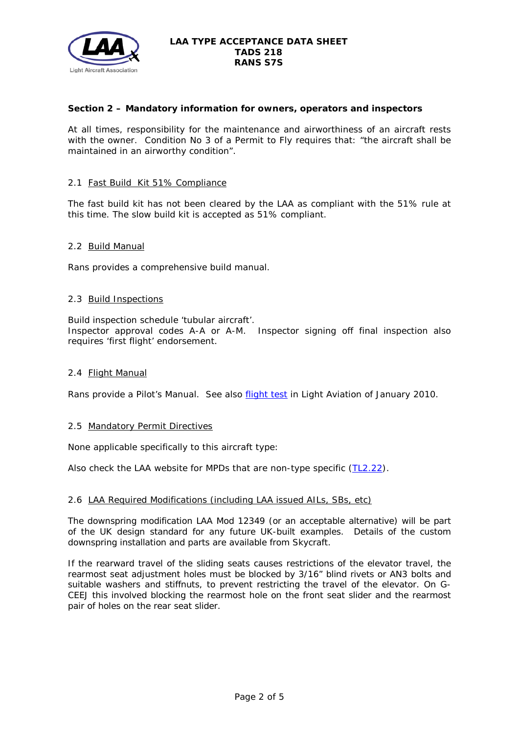

## **Section 2 – Mandatory information for owners, operators and inspectors**

At all times, responsibility for the maintenance and airworthiness of an aircraft rests with the owner. Condition No 3 of a Permit to Fly requires that: *"the aircraft shall be maintained in an airworthy condition".* 

#### 2.1 Fast Build Kit 51% Compliance

The fast build kit has not been cleared by the LAA as compliant with the 51% rule at this time. The slow build kit is accepted as 51% compliant.

#### 2.2 Build Manual

Rans provides a comprehensive build manual.

### 2.3 Build Inspections

Build inspection schedule 'tubular aircraft'.

Inspector approval codes A-A or A-M. Inspector signing off final inspection also requires 'first flight' endorsement.

## 2.4 Flight Manual

Rans provide a Pilot's Manual. See also **flight test** in Light Aviation of January 2010.

#### 2.5 Mandatory Permit Directives

None applicable specifically to this aircraft type:

Also check the LAA website for MPDs that are non-type specific [\(TL2.22\)](http://www.lightaircraftassociation.co.uk/engineering/TechnicalLeaflets/Operating%20An%20Aircraft/TL%202.22%20non-type%20specific%20MPDs.pdf).

#### 2.6 LAA Required Modifications (including LAA issued AILs, SBs, etc)

The downspring modification LAA Mod 12349 (or an acceptable alternative) will be part of the UK design standard for any future UK-built examples. Details of the custom downspring installation and parts are available from Skycraft.

If the rearward travel of the sliding seats causes restrictions of the elevator travel, the rearmost seat adjustment holes must be blocked by 3/16" blind rivets or AN3 bolts and suitable washers and stiffnuts, to prevent restricting the travel of the elevator. On G-CEEJ this involved blocking the rearmost hole on the front seat slider and the rearmost pair of holes on the rear seat slider.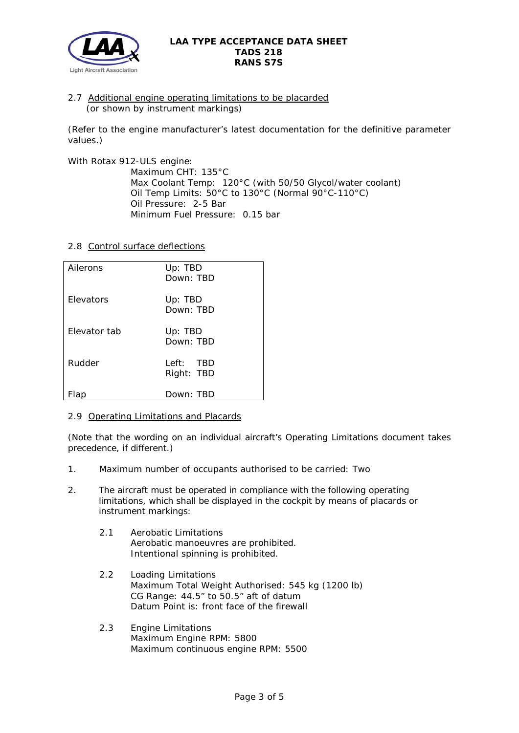

2.7 Additional engine operating limitations to be placarded (or shown by instrument markings)

(Refer to the engine manufacturer's latest documentation for the definitive parameter values.)

With Rotax 912-ULS engine:

Maximum CHT: 135°C Max Coolant Temp: 120°C (with 50/50 Glycol/water coolant) Oil Temp Limits: 50°C to 130°C (Normal 90°C-110°C) Oil Pressure: 2-5 Bar Minimum Fuel Pressure: 0.15 bar

2.8 Control surface deflections

| Ailerons         | Up: TBD<br>Down: TBD    |
|------------------|-------------------------|
| <b>Flevators</b> | Up: TBD<br>Down: TBD    |
| Flevator tab     | Up: TBD<br>Down: TBD    |
| Rudder           | Left: TBD<br>Right: TBD |
| -lap             | Down: TBD               |

# 2.9 Operating Limitations and Placards

(Note that the wording on an individual aircraft's Operating Limitations document takes precedence, if different.)

- 1. Maximum number of occupants authorised to be carried: Two
- 2. The aircraft must be operated in compliance with the following operating limitations, which shall be displayed in the cockpit by means of placards or instrument markings:
	- 2.1 Aerobatic Limitations Aerobatic manoeuvres are prohibited. Intentional spinning is prohibited.
	- 2.2 Loading Limitations Maximum Total Weight Authorised: 545 kg (1200 lb) CG Range: 44.5" to 50.5" aft of datum Datum Point is: front face of the firewall
	- 2.3 Engine Limitations Maximum Engine RPM: 5800 Maximum continuous engine RPM: 5500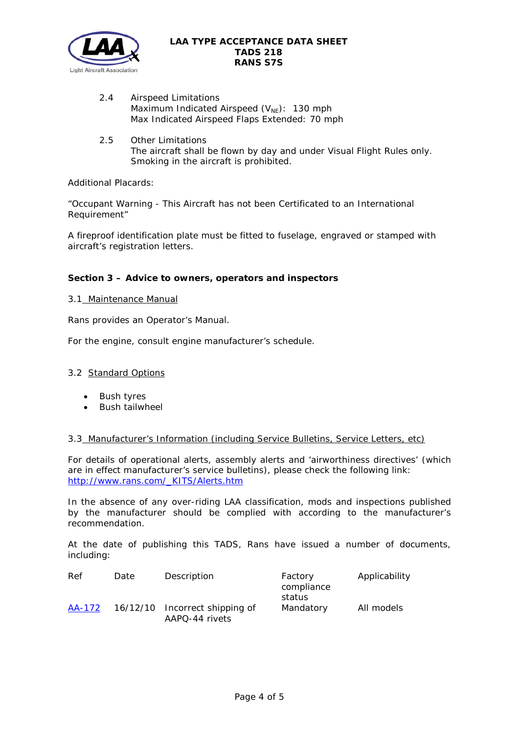

- 2.4 Airspeed Limitations Maximum Indicated Airspeed  $(V_{NE})$ : 130 mph Max Indicated Airspeed Flaps Extended: 70 mph
- 2.5 Other Limitations The aircraft shall be flown by day and under Visual Flight Rules only. Smoking in the aircraft is prohibited.

Additional Placards:

"Occupant Warning - This Aircraft has not been Certificated to an International Requirement"

A fireproof identification plate must be fitted to fuselage, engraved or stamped with aircraft's registration letters.

## **Section 3 – Advice to owners, operators and inspectors**

## 3.1 Maintenance Manual

Rans provides an Operator's Manual.

For the engine, consult engine manufacturer's schedule.

## 3.2 Standard Options

- Bush tyres
- Bush tailwheel

#### 3.3 Manufacturer's Information (including Service Bulletins, Service Letters, etc)

For details of operational alerts, assembly alerts and 'airworthiness directives' (which are in effect manufacturer's service bulletins), please check the following link: [http://www.rans.com/\\_KITS/Alerts.htm](http://www.rans.com/_KITS/Alerts.htm)

In the absence of any over-riding LAA classification, mods and inspections published by the manufacturer should be complied with according to the manufacturer's recommendation.

At the date of publishing this TADS, Rans have issued a number of documents, including:

| Ref    | Date | Description                                      | Factory<br>compliance | Applicability |  |
|--------|------|--------------------------------------------------|-----------------------|---------------|--|
|        |      |                                                  | status                |               |  |
| AA-172 |      | 16/12/10 Incorrect shipping of<br>AAPQ-44 rivets | Mandatory             | All models    |  |